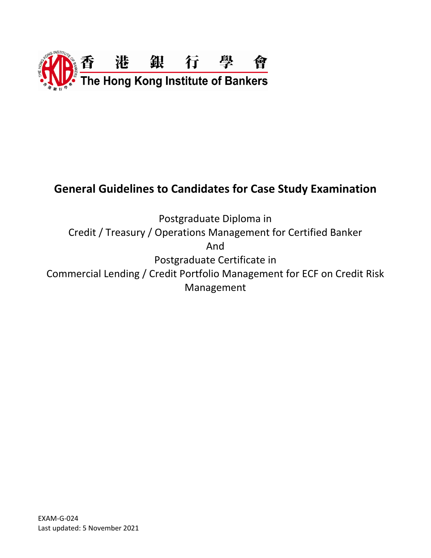

# **General Guidelines to Candidates for Case Study Examination**

Postgraduate Diploma in Credit / Treasury / Operations Management for Certified Banker And Postgraduate Certificate in Commercial Lending / Credit Portfolio Management for ECF on Credit Risk Management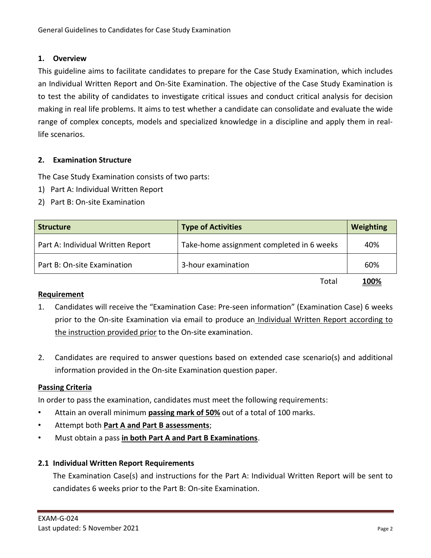# **1. Overview**

This guideline aims to facilitate candidates to prepare for the Case Study Examination, which includes an Individual Written Report and On-Site Examination. The objective of the Case Study Examination is to test the ability of candidates to investigate critical issues and conduct critical analysis for decision making in real life problems. It aims to test whether a candidate can consolidate and evaluate the wide range of complex concepts, models and specialized knowledge in a discipline and apply them in reallife scenarios.

# **2. Examination Structure**

The Case Study Examination consists of two parts:

- 1) Part A: Individual Written Report
- 2) Part B: On-site Examination

| <b>Structure</b>                  | <b>Type of Activities</b>                 | <b>Weighting</b> |
|-----------------------------------|-------------------------------------------|------------------|
| Part A: Individual Written Report | Take-home assignment completed in 6 weeks | 40%              |
| Part B: On-site Examination       | 3-hour examination                        | 60%              |
|                                   | Total                                     | <u> 100%</u>     |

# **Requirement**

- 1. Candidates will receive the "Examination Case: Pre-seen information" (Examination Case) 6 weeks prior to the On-site Examination via email to produce an Individual Written Report according to the instruction provided prior to the On-site examination.
- 2. Candidates are required to answer questions based on extended case scenario(s) and additional information provided in the On-site Examination question paper.

# **Passing Criteria**

In order to pass the examination, candidates must meet the following requirements:

- Attain an overall minimum **passing mark of 50%** out of a total of 100 marks.
- Attempt both **Part A and Part B assessments**;
- Must obtain a pass **in both Part A and Part B Examinations**.

# **2.1 Individual Written Report Requirements**

The Examination Case(s) and instructions for the Part A: Individual Written Report will be sent to candidates 6 weeks prior to the Part B: On-site Examination.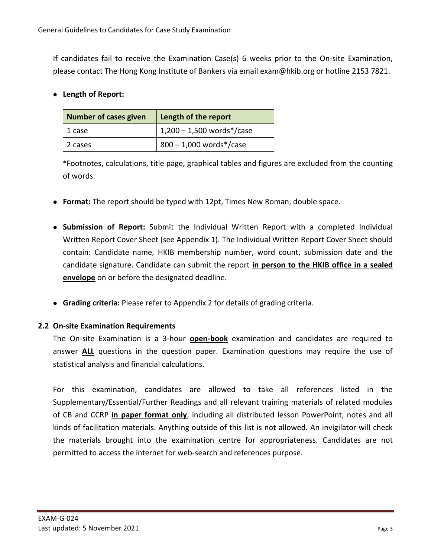If candidates fail to receive the Examination Case(s) 6 weeks prior to the On-site Examination, please contact The Hong Kong Institute of Bankers via email [exam@hkib.org](mailto:exam@hkib.org) or hotline 2153 7821.

⚫ **Length of Report:**

| <b>Number of cases given</b> | Length of the report        |
|------------------------------|-----------------------------|
| 1 case                       | $1,200 - 1,500$ words*/case |
| 2 cases                      | $800 - 1,000$ words*/case   |

\*Footnotes, calculations, title page, graphical tables and figures are excluded from the counting of words.

- ⚫ **Format:** The report should be typed with 12pt, Times New Roman, double space.
- ⚫ **Submission of Report:** Submit the Individual Written Report with a completed Individual Written Report Cover Sheet (see Appendix 1). The Individual Written Report Cover Sheet should contain: Candidate name, HKIB membership number, word count, submission date and the candidate signature. Candidate can submit the report **in person to the HKIB office in a sealed envelope** on or before the designated deadline.
- ⚫ **Grading criteria:** Please refer to Appendix 2 for details of grading criteria.

# **2.2 On-site Examination Requirements**

The On-site Examination is a 3-hour **open-book** examination and candidates are required to answer **ALL** questions in the question paper. Examination questions may require the use of statistical analysis and financial calculations.

For this examination, candidates are allowed to take all references listed in the Supplementary/Essential/Further Readings and all relevant training materials of related modules of CB and CCRP **in paper format only**, including all distributed lesson PowerPoint, notes and all kinds of facilitation materials. Anything outside of this list is not allowed. An invigilator will check the materials brought into the examination centre for appropriateness. Candidates are not permitted to access the internet for web-search and references purpose.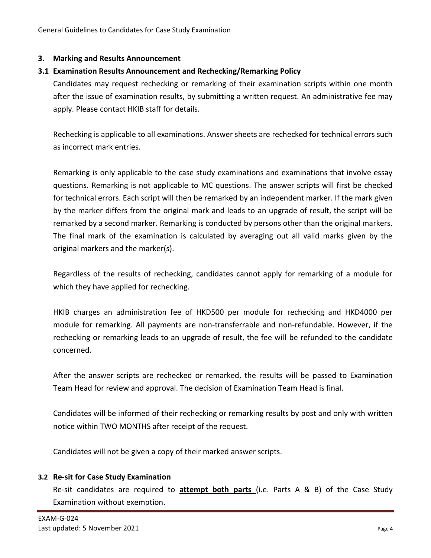#### **3. Marking and Results Announcement**

#### **3.1 Examination Results Announcement and Rechecking/Remarking Policy**

Candidates may request rechecking or remarking of their examination scripts within one month after the issue of examination results, by submitting a written request. An administrative fee may apply. Please contact HKIB staff for details.

Rechecking is applicable to all examinations. Answer sheets are rechecked for technical errors such as incorrect mark entries.

Remarking is only applicable to the case study examinations and examinations that involve essay questions. Remarking is not applicable to MC questions. The answer scripts will first be checked for technical errors. Each script will then be remarked by an independent marker. If the mark given by the marker differs from the original mark and leads to an upgrade of result, the script will be remarked by a second marker. Remarking is conducted by persons other than the original markers. The final mark of the examination is calculated by averaging out all valid marks given by the original markers and the marker(s).

Regardless of the results of rechecking, candidates cannot apply for remarking of a module for which they have applied for rechecking.

HKIB charges an administration fee of HKD500 per module for rechecking and HKD4000 per module for remarking. All payments are non-transferrable and non-refundable. However, if the rechecking or remarking leads to an upgrade of result, the fee will be refunded to the candidate concerned.

After the answer scripts are rechecked or remarked, the results will be passed to Examination Team Head for review and approval. The decision of Examination Team Head is final.

Candidates will be informed of their rechecking or remarking results by post and only with written notice within TWO MONTHS after receipt of the request.

Candidates will not be given a copy of their marked answer scripts.

#### **3.2 Re-sit for Case Study Examination**

Re-sit candidates are required to **attempt both parts** (i.e. Parts A & B) of the Case Study Examination without exemption.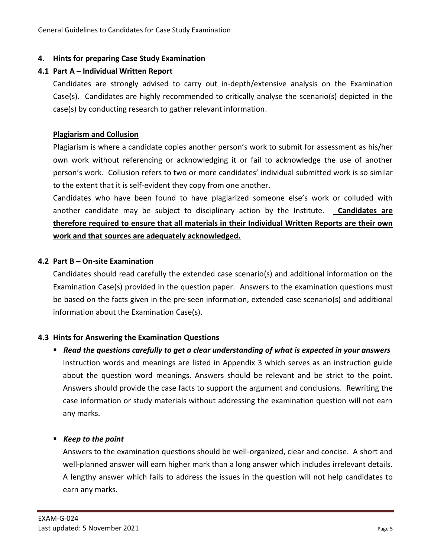#### **4. Hints for preparing Case Study Examination**

#### **4.1 Part A – Individual Written Report**

Candidates are strongly advised to carry out in-depth/extensive analysis on the Examination Case(s). Candidates are highly recommended to critically analyse the scenario(s) depicted in the case(s) by conducting research to gather relevant information.

#### **Plagiarism and Collusion**

Plagiarism is where a candidate copies another person's work to submit for assessment as his/her own work without referencing or acknowledging it or fail to acknowledge the use of another person's work. Collusion refers to two or more candidates' individual submitted work is so similar to the extent that it is self-evident they copy from one another.

Candidates who have been found to have plagiarized someone else's work or colluded with another candidate may be subject to disciplinary action by the Institute. **Candidates are therefore required to ensure that all materials in their Individual Written Reports are their own work and that sources are adequately acknowledged.**

#### **4.2 Part B – On-site Examination**

Candidates should read carefully the extended case scenario(s) and additional information on the Examination Case(s) provided in the question paper. Answers to the examination questions must be based on the facts given in the pre-seen information, extended case scenario(s) and additional information about the Examination Case(s).

#### **4.3 Hints for Answering the Examination Questions**

■ Read the questions carefully to get a clear understanding of what is expected in your answers Instruction words and meanings are listed in Appendix 3 which serves as an instruction guide about the question word meanings. Answers should be relevant and be strict to the point. Answers should provide the case facts to support the argument and conclusions. Rewriting the case information or study materials without addressing the examination question will not earn any marks.

#### ■ *Keep to the point*

Answers to the examination questions should be well-organized, clear and concise. A short and well-planned answer will earn higher mark than a long answer which includes irrelevant details. A lengthy answer which fails to address the issues in the question will not help candidates to earn any marks.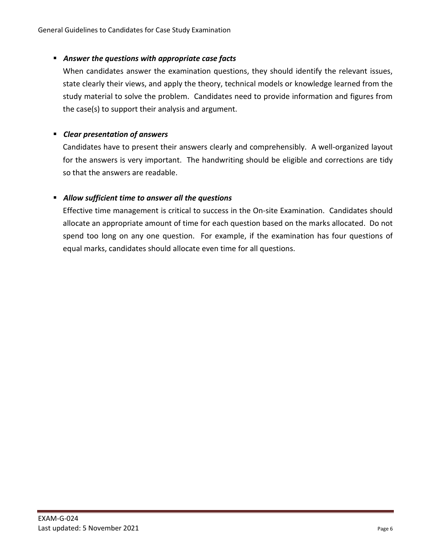# ▪ *Answer the questions with appropriate case facts*

When candidates answer the examination questions, they should identify the relevant issues, state clearly their views, and apply the theory, technical models or knowledge learned from the study material to solve the problem. Candidates need to provide information and figures from the case(s) to support their analysis and argument.

#### ▪ *Clear presentation of answers*

Candidates have to present their answers clearly and comprehensibly. A well-organized layout for the answers is very important. The handwriting should be eligible and corrections are tidy so that the answers are readable.

#### ▪ *Allow sufficient time to answer all the questions*

Effective time management is critical to success in the On-site Examination. Candidates should allocate an appropriate amount of time for each question based on the marks allocated. Do not spend too long on any one question. For example, if the examination has four questions of equal marks, candidates should allocate even time for all questions.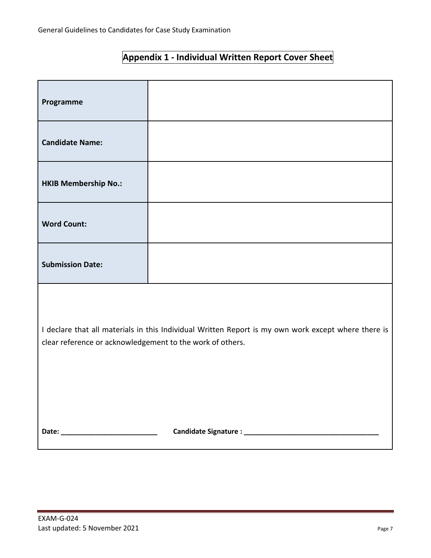| Appendix 1 - Individual Written Report Cover Sheet |  |  |
|----------------------------------------------------|--|--|
|----------------------------------------------------|--|--|

| Programme                                                                                                                                                        |  |  |  |
|------------------------------------------------------------------------------------------------------------------------------------------------------------------|--|--|--|
| <b>Candidate Name:</b>                                                                                                                                           |  |  |  |
| <b>HKIB Membership No.:</b>                                                                                                                                      |  |  |  |
| <b>Word Count:</b>                                                                                                                                               |  |  |  |
| <b>Submission Date:</b>                                                                                                                                          |  |  |  |
| I declare that all materials in this Individual Written Report is my own work except where there is<br>clear reference or acknowledgement to the work of others. |  |  |  |
|                                                                                                                                                                  |  |  |  |

and the control of the control of the control of the control of the control of the control of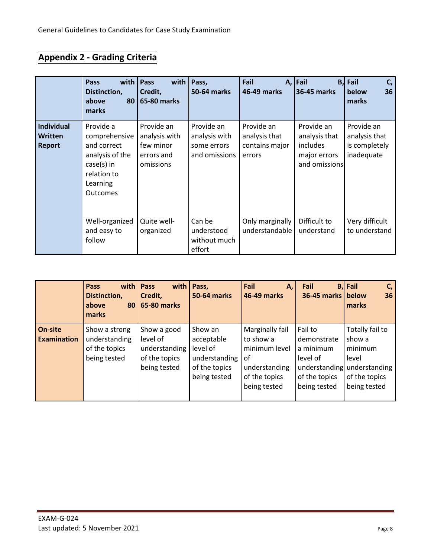# **Appendix 2 - Grading Criteria**

|                                               | with<br>Pass<br>Distinction,<br>above<br>80 <sub>1</sub><br>marks                                                   | with<br>Pass<br>Credit,<br><b>65-80 marks</b>                       | Pass,<br>50-64 marks                                        | Fail<br>46-49 marks                                     | A, Fail<br>B,<br><b>36-45 marks</b>                                      | Fail<br>C,<br>below<br>36<br>marks                         |
|-----------------------------------------------|---------------------------------------------------------------------------------------------------------------------|---------------------------------------------------------------------|-------------------------------------------------------------|---------------------------------------------------------|--------------------------------------------------------------------------|------------------------------------------------------------|
| <b>Individual</b><br><b>Written</b><br>Report | Provide a<br>comprehensive<br>and correct<br>analysis of the<br>$case(s)$ in<br>relation to<br>Learning<br>Outcomes | Provide an<br>analysis with<br>few minor<br>errors and<br>omissions | Provide an<br>analysis with<br>some errors<br>and omissions | Provide an<br>analysis that<br>contains major<br>errors | Provide an<br>analysis that<br>includes<br>major errors<br>and omissions | Provide an<br>analysis that<br>is completely<br>inadequate |
|                                               | Well-organized<br>and easy to<br>follow                                                                             | Quite well-<br>organized                                            | Can be<br>understood<br>without much<br>effort              | Only marginally<br>understandable                       | Difficult to<br>understand                                               | Very difficult<br>to understand                            |

|                               | Pass<br>Distinction,<br>above<br>80<br>marks                    | with   Pass<br>with  <br>Credit,<br><b>65-80 marks</b>                    | Pass,<br><b>50-64 marks</b>                                                         | Fail<br>Α,<br>46-49 marks                                                                             | Fail<br>36-45 marks                                                                               | $B,$ Fail<br>C,<br>below<br>36<br>marks                                                         |
|-------------------------------|-----------------------------------------------------------------|---------------------------------------------------------------------------|-------------------------------------------------------------------------------------|-------------------------------------------------------------------------------------------------------|---------------------------------------------------------------------------------------------------|-------------------------------------------------------------------------------------------------|
| On-site<br><b>Examination</b> | Show a strong<br>understanding<br>of the topics<br>being tested | Show a good<br>level of<br>understanding<br>of the topics<br>being tested | Show an<br>acceptable<br>level of<br>understanding<br>of the topics<br>being tested | Marginally fail<br>to show a<br>minimum level<br>of<br>understanding<br>of the topics<br>being tested | Fail to<br>demonstrate<br>a minimum<br>level of<br>understanding<br>of the topics<br>being tested | Totally fail to<br>show a<br>minimum<br>level<br>understanding<br>of the topics<br>being tested |